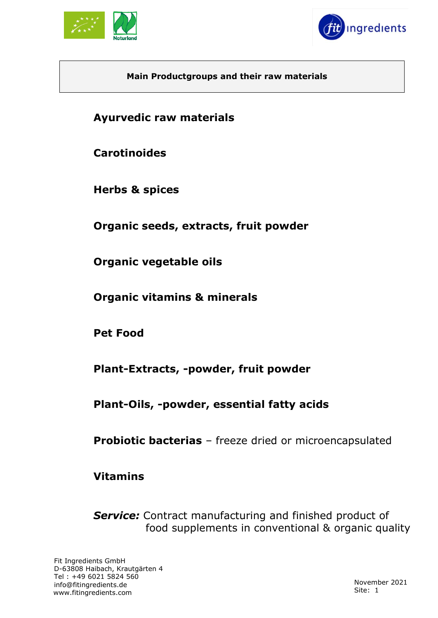



### **Main Productgroups and their raw materials**

**Ayurvedic raw materials**

**Carotinoides**

**Herbs & spices**

**Organic seeds, extracts, fruit powder**

**Organic vegetable oils**

**Organic vitamins & minerals** 

**Pet Food**

**Plant-Extracts, -powder, fruit powder**

**Plant-Oils, -powder, essential fatty acids**

**Probiotic bacterias** – freeze dried or microencapsulated

**Vitamins**

**Service:** Contract manufacturing and finished product of food supplements in conventional & organic quality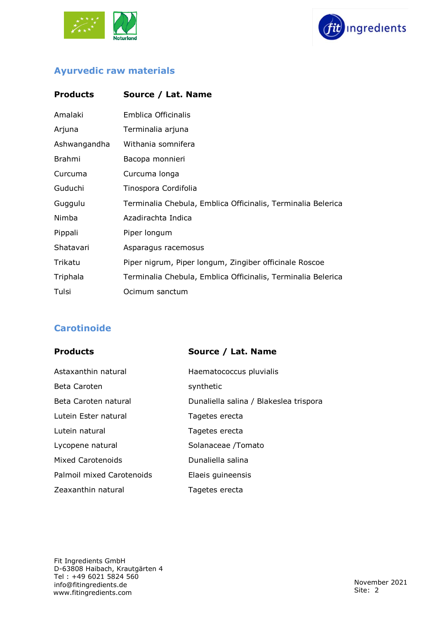



# **Ayurvedic raw materials**

| <b>Products</b> | Source / Lat. Name                                           |
|-----------------|--------------------------------------------------------------|
| Amalaki         | Emblica Officinalis                                          |
| Arjuna          | Terminalia arjuna                                            |
| Ashwangandha    | Withania somnifera                                           |
| <b>Brahmi</b>   | Bacopa monnieri                                              |
| Curcuma         | Curcuma longa                                                |
| Guduchi         | Tinospora Cordifolia                                         |
| Guggulu         | Terminalia Chebula, Emblica Officinalis, Terminalia Belerica |
| Nimba           | Azadirachta Indica                                           |
| Pippali         | Piper longum                                                 |
| Shatavari       | Asparagus racemosus                                          |
| Trikatu         | Piper nigrum, Piper longum, Zingiber officinale Roscoe       |
| Triphala        | Terminalia Chebula, Emblica Officinalis, Terminalia Belerica |
| Tulsi           | Ocimum sanctum                                               |

# **Carotinoide**

| <b>Products</b>           | Source / Lat. Name                     |
|---------------------------|----------------------------------------|
| Astaxanthin natural       | Haematococcus pluvialis                |
| Beta Caroten              | synthetic                              |
| Beta Caroten natural      | Dunaliella salina / Blakeslea trispora |
| Lutein Ester natural      | Tagetes erecta                         |
| Lutein natural            | Tagetes erecta                         |
| Lycopene natural          | Solanaceae /Tomato                     |
| Mixed Carotenoids         | Dunaliella salina                      |
| Palmoil mixed Carotenoids | Elaeis guineensis                      |
| Zeaxanthin natural        | Tagetes erecta                         |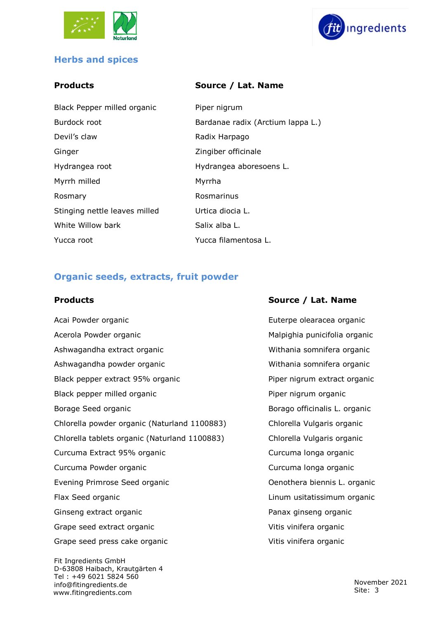



### **Herbs and spices**

### **Products Source / Lat. Name**

| Black Pepper milled organic   | Piper nigrum                      |
|-------------------------------|-----------------------------------|
| Burdock root                  | Bardanae radix (Arctium lappa L.) |
| Devil's claw                  | Radix Harpago                     |
| Ginger                        | Zingiber officinale               |
| Hydrangea root                | Hydrangea aboresoens L.           |
| Myrrh milled                  | Myrrha                            |
| Rosmary                       | Rosmarinus                        |
| Stinging nettle leaves milled | Urtica diocia L.                  |
| White Willow bark             | Salix alba L.                     |
| Yucca root                    | Yucca filamentosa L.              |

### **Organic seeds, extracts, fruit powder**

Fit Ingredients GmbH Acai Powder organic **Acai Powder organic** extended a set of the Euterpe olearacea organic Acerola Powder organic and Malpighia punicifolia organic Ashwagandha extract organic Withania somnifera organic Ashwagandha powder organic Withania somnifera organic Black pepper extract 95% organic extract organic Piper nigrum extract organic Black pepper milled organic example of the Piper nigrum organic Borage Seed organic **Borago officinalis L. organic** Chlorella powder organic (Naturland 1100883) Chlorella Vulgaris organic Chlorella tablets organic (Naturland 1100883) Chlorella Vulgaris organic Curcuma Extract 95% organic Curcuma longa organic Curcuma Powder organic Curcuma longa organic Evening Primrose Seed organic **Communist Coenotial Coenothera biennis L. organic** Flax Seed organic **Example 2018** Linum usitatissimum organic Ginseng extract organic **Panax ginseng organic** Panax ginseng organic Grape seed extract organic variable virtually virtually virtually virtually virtually virtually virtually virtually v Grape seed press cake organic variable views virtus vinifera organic

D-63808 Haibach, Krautgärten 4 Tel : +49 6021 5824 560 [info@fitingredients.de](mailto:info@fitingredients.de) [www.fitingredients.com](http://www.fitingredients.com/)

### **Products Source / Lat. Name**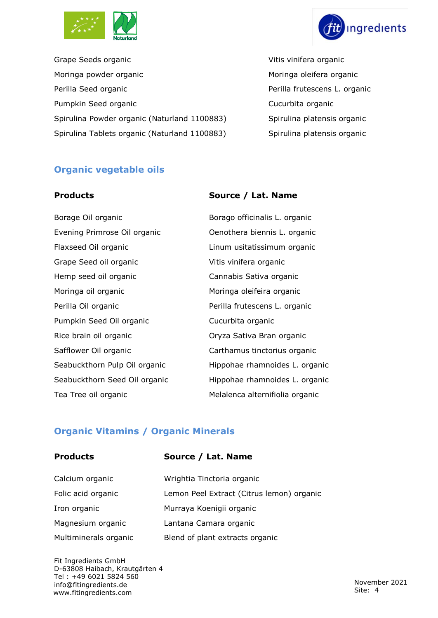



Grape Seeds organic Vitis vinifera organic Moringa powder organic and a metal morth of Moringa oleifera organic Perilla Seed organic **Perilla Seed organic** Perilla frutescens L. organic Pumpkin Seed organic **Cucurbita** organic Spirulina Powder organic (Naturland 1100883) Spirulina platensis organic Spirulina Tablets organic (Naturland 1100883) Spirulina platensis organic

# **Organic vegetable oils**

# Evening Primrose Oil organic **Conting Contract Contract Contract Contract** Contract Contract Contract Contract Contract Contract Contract Contract Contract Contract Contract Contract Contract Contract Contract Contract Con Flaxseed Oil organic Linum usitatissimum organic Grape Seed oil organic Vitis vinifera organic Hemp seed oil organic Cannabis Sativa organic Moringa oil organic **Moringa oleifeira** organic Perilla Oil organic **Perilla frutescens L. organic** Pumpkin Seed Oil organic **Cucurbita organic** Cucurbita organic Rice brain oil organic **Calculary Contract Contract Contract Contract Contract Contract Contract Contract Contract Contract Contract Contract Contract Contract Contract Contract Contract Contract Contract Contract Contract** Safflower Oil organic **Carthamus tinctorius organic**

### **Products Source / Lat. Name**

Borage Oil organic **Borago officinalis L. organic** Seabuckthorn Pulp Oil organic Hippohae rhamnoides L. organic Seabuckthorn Seed Oil organic Hippohae rhamnoides L. organic Tea Tree oil organic **Melalenca alternifiolia organic** 

### **Organic Vitamins / Organic Minerals**

# **Products Source / Lat. Name** Calcium organic Wrightia Tinctoria organic Folic acid organic Lemon Peel Extract (Citrus lemon) organic Iron organic **Murraya Koenigii organic** Magnesium organic Lantana Camara organic Multiminerals organic Blend of plant extracts organic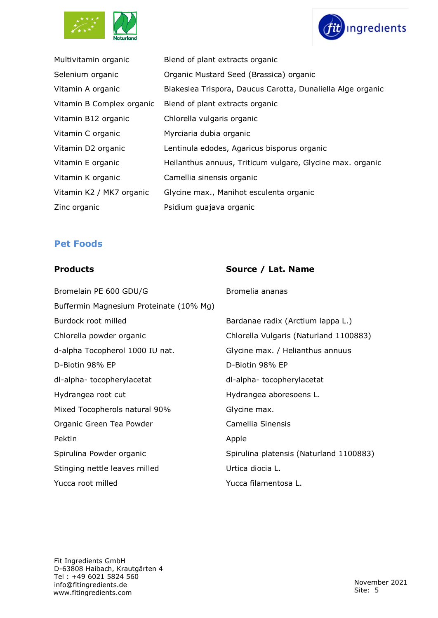



| Multivitamin organic      | Blend of plant extracts organic                             |
|---------------------------|-------------------------------------------------------------|
| Selenium organic          | Organic Mustard Seed (Brassica) organic                     |
| Vitamin A organic         | Blakeslea Trispora, Daucus Carotta, Dunaliella Alge organic |
| Vitamin B Complex organic | Blend of plant extracts organic                             |
| Vitamin B12 organic       | Chlorella vulgaris organic                                  |
| Vitamin C organic         | Myrciaria dubia organic                                     |
| Vitamin D2 organic        | Lentinula edodes, Agaricus bisporus organic                 |
| Vitamin E organic         | Heilanthus annuus, Triticum vulgare, Glycine max. organic   |
| Vitamin K organic         | Camellia sinensis organic                                   |
| Vitamin K2 / MK7 organic  | Glycine max., Manihot esculenta organic                     |
| Zinc organic              | Psidium quajava organic                                     |

### **Pet Foods**

### **Products Source / Lat. Name**

Bromelain PE 600 GDU/G Bromelia ananas

| Buffermin Magnesium Proteinate (10% Mg) |                                         |
|-----------------------------------------|-----------------------------------------|
| Burdock root milled                     | Bardanae radix (Arctium lappa L.)       |
| Chlorella powder organic                | Chlorella Vulgaris (Naturland 1100883)  |
| d-alpha Tocopherol 1000 IU nat.         | Glycine max. / Helianthus annuus        |
| D-Biotin 98% EP                         | D-Biotin 98% EP                         |
| dl-alpha-tocopherylacetat               | dl-alpha-tocopherylacetat               |
| Hydrangea root cut                      | Hydrangea aboresoens L.                 |
| Mixed Tocopherols natural 90%           | Glycine max.                            |
| Organic Green Tea Powder                | Camellia Sinensis                       |
| Pektin                                  | Apple                                   |
| Spirulina Powder organic                | Spirulina platensis (Naturland 1100883) |
| Stinging nettle leaves milled           | Urtica diocia L.                        |
| Yucca root milled                       | Yucca filamentosa L.                    |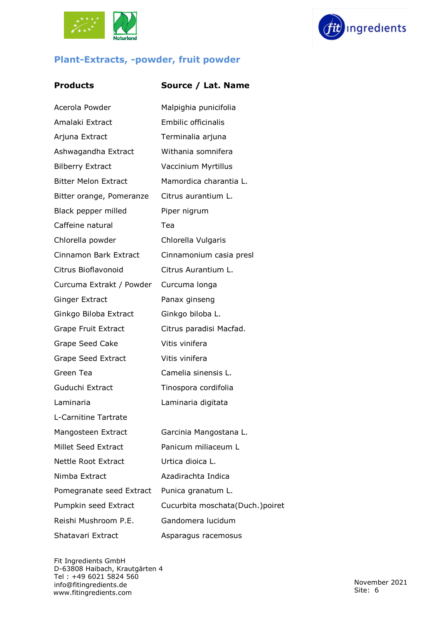





### **Products Source / Lat. Name**

| Acerola Powder              | Malpighia punicifolia           |
|-----------------------------|---------------------------------|
| Amalaki Extract             | <b>Embilic officinalis</b>      |
| Arjuna Extract              | Terminalia arjuna               |
| Ashwagandha Extract         | Withania somnifera              |
| <b>Bilberry Extract</b>     | Vaccinium Myrtillus             |
| <b>Bitter Melon Extract</b> | Mamordica charantia L.          |
| Bitter orange, Pomeranze    | Citrus aurantium L.             |
| Black pepper milled         | Piper nigrum                    |
| Caffeine natural            | Tea                             |
| Chlorella powder            | Chlorella Vulgaris              |
| Cinnamon Bark Extract       | Cinnamonium casia presl         |
| Citrus Bioflavonoid         | Citrus Aurantium L.             |
| Curcuma Extrakt / Powder    | Curcuma longa                   |
| <b>Ginger Extract</b>       | Panax ginseng                   |
| Ginkgo Biloba Extract       | Ginkgo biloba L.                |
| Grape Fruit Extract         | Citrus paradisi Macfad.         |
| Grape Seed Cake             | Vitis vinifera                  |
| Grape Seed Extract          | Vitis vinifera                  |
| Green Tea                   | Camelia sinensis L.             |
| Guduchi Extract             | Tinospora cordifolia            |
| Laminaria                   | Laminaria digitata              |
| L-Carnitine Tartrate        |                                 |
| Mangosteen Extract          | Garcinia Mangostana L.          |
| Millet Seed Extract         | Panicum miliaceum L             |
| <b>Nettle Root Extract</b>  | Urtica dioica L.                |
| Nimba Extract               | Azadirachta Indica              |
| Pomegranate seed Extract    | Punica granatum L.              |
| Pumpkin seed Extract        | Cucurbita moschata(Duch.)poiret |
| Reishi Mushroom P.E.        | Gandomera lucidum               |
| Shatavari Extract           | Asparagus racemosus             |
|                             |                                 |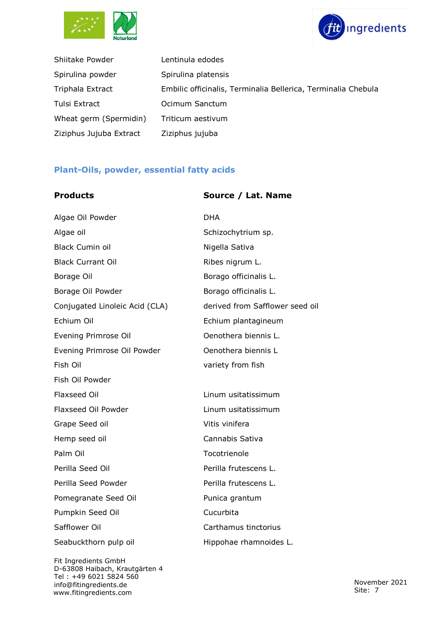



| Shiitake Powder         | Lentinula edodes                                              |
|-------------------------|---------------------------------------------------------------|
| Spirulina powder        | Spirulina platensis                                           |
| Triphala Extract        | Embilic officinalis, Terminalia Bellerica, Terminalia Chebula |
| Tulsi Extract           | Ocimum Sanctum                                                |
| Wheat germ (Spermidin)  | Triticum aestivum                                             |
| Ziziphus Jujuba Extract | Ziziphus jujuba                                               |

### **Plant-Oils, powder, essential fatty acids**

| <b>Products</b> |  |
|-----------------|--|
|                 |  |

### **Source / Lat. Name**

| Algae Oil Powder               | <b>DHA</b>                      |
|--------------------------------|---------------------------------|
| Algae oil                      | Schizochytrium sp.              |
| <b>Black Cumin oil</b>         | Nigella Sativa                  |
| <b>Black Currant Oil</b>       | Ribes nigrum L.                 |
| Borage Oil                     | Borago officinalis L.           |
| Borage Oil Powder              | Borago officinalis L.           |
| Conjugated Linoleic Acid (CLA) | derived from Safflower seed oil |
| Echium Oil                     | Echium plantagineum             |
| Evening Primrose Oil           | Oenothera biennis L.            |
| Evening Primrose Oil Powder    | Oenothera biennis L             |
| Fish Oil                       | variety from fish               |
| Fish Oil Powder                |                                 |
| Flaxseed Oil                   | Linum usitatissimum             |
| Flaxseed Oil Powder            | Linum usitatissimum             |
| Grape Seed oil                 | Vitis vinifera                  |
| Hemp seed oil                  | Cannabis Sativa                 |
| Palm Oil                       | Tocotrienole                    |
| Perilla Seed Oil               | Perilla frutescens L.           |
| Perilla Seed Powder            | Perilla frutescens L.           |
| Pomegranate Seed Oil           | Punica grantum                  |
| Pumpkin Seed Oil               | Cucurbita                       |
| Safflower Oil                  | Carthamus tinctorius            |
| Seabuckthorn pulp oil          | Hippohae rhamnoides L.          |
|                                |                                 |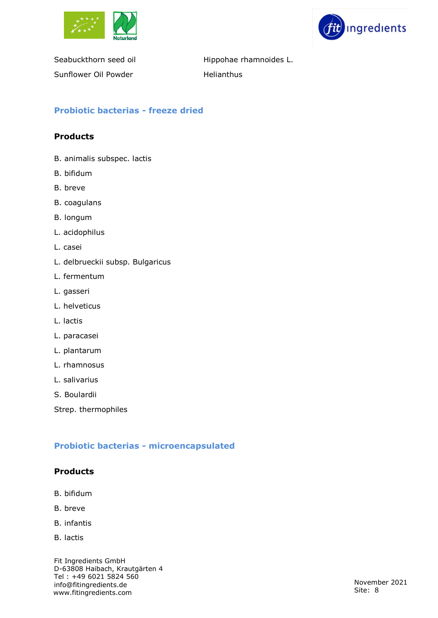



Seabuckthorn seed oil **Hippohae rhamnoides L.** Sunflower Oil Powder **Helianthus** 

### **Probiotic bacterias - freeze dried**

### **Products**

- B. animalis subspec. lactis
- B. bifidum
- B. breve
- B. coagulans
- B. longum
- L. acidophilus
- L. casei
- L. delbrueckii subsp. Bulgaricus
- L. fermentum
- L. gasseri
- L. helveticus
- L. lactis
- L. paracasei
- L. plantarum
- L. rhamnosus
- L. salivarius
- S. Boulardii

Strep. thermophiles

### **Probiotic bacterias - microencapsulated**

### **Products**

- B. bifidum
- B. breve
- B. infantis
- B. lactis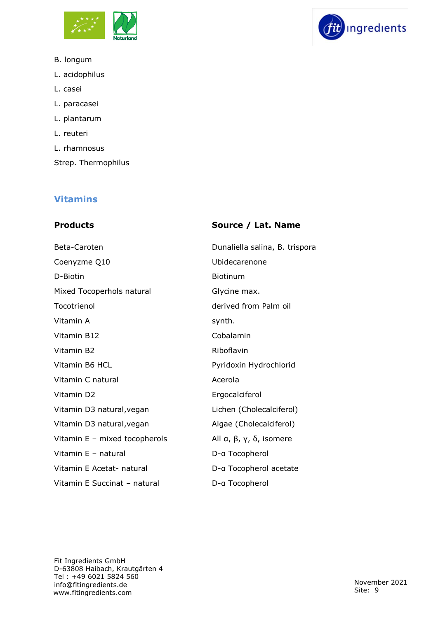

- B. longum
- L. acidophilus
- L. casei
- L. paracasei
- L. plantarum
- L. reuteri
- L. rhamnosus
- Strep. Thermophilus

# **Vitamins**

### **Products Source / Lat. Name**

| Beta-Caroten                  | Dunaliella salina, B. trispora |
|-------------------------------|--------------------------------|
| Coenyzme Q10                  | Ubidecarenone                  |
| D-Biotin                      | <b>Biotinum</b>                |
| Mixed Tocoperhols natural     | Glycine max.                   |
| Tocotrienol                   | derived from Palm oil          |
| Vitamin A                     | synth.                         |
| Vitamin B12                   | Cobalamin                      |
| Vitamin B2                    | Riboflavin                     |
| Vitamin B6 HCL                | Pyridoxin Hydrochlorid         |
| Vitamin C natural             | Acerola                        |
| Vitamin D2                    | Ergocalciferol                 |
| Vitamin D3 natural, vegan     | Lichen (Cholecalciferol)       |
| Vitamin D3 natural, vegan     | Algae (Cholecalciferol)        |
| Vitamin E - mixed tocopherols | All a, $\beta$ , γ, δ, isomere |
| Vitamin E - natural           | D-a Tocopherol                 |
| Vitamin E Acetat- natural     | D-a Tocopherol acetate         |
| Vitamin E Succinat - natural  | D-a Tocopherol                 |